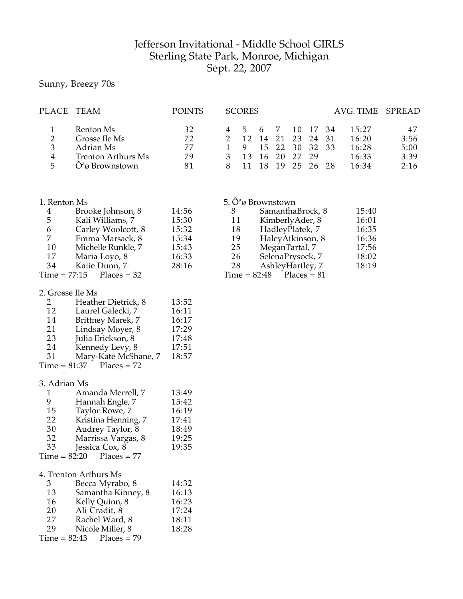## Jefferson Invitational - Middle School GIRLS Sterling State Park, Monroe, Michigan Sept. 22, 2007

Sunny, Breezy 70s

| PLACE TEAM    |                           | <b>POINTS</b> | <b>SCORES</b> |     |     |                |          | AVG. TIME SPREAD |      |
|---------------|---------------------------|---------------|---------------|-----|-----|----------------|----------|------------------|------|
|               | Renton Ms                 | 32            | 4 5           | 6 7 |     |                | 10 17 34 | 15:27            | 47   |
| $\mathcal{D}$ | Grosse Ile Ms             | 72            |               | 14  |     | 21 23 24 31    |          | 16:20            | 3:56 |
| 3             | Adrian Ms                 | 77            |               |     |     | 15 22 30 32 33 |          | 16:28            | 5:00 |
| 4             | <b>Trenton Arthurs Ms</b> | 79            | 13            | 16  | 20. | - 27           | 79       | 16:33            | 3:39 |
| 5             | Oªø Brownstown            | 81            |               |     | 19  | つら             | 26.28    | 16:34            | 2:16 |

| 1. Renton Ms |                            |       |
|--------------|----------------------------|-------|
| 4            | Brooke Johnson, 8          | 14:56 |
| 5            | Kali Williams, 7           | 15:30 |
| 6            | Carley Woolcott, 8         | 15:32 |
| 7            | Emma Marsack, 8            | 15:34 |
| 10           | Michelle Runkle, 7         | 15:43 |
| 17           | Maria Loyo, 8              | 16:33 |
| 34           | Katie Dunn, 7              | 28:16 |
|              | $Time = 77:15$ Places = 32 |       |

| 2. Grosse Ile Ms |  |  |
|------------------|--|--|
|------------------|--|--|

| 2  | Heather Dietrick, 8        | 13:52 |
|----|----------------------------|-------|
| 12 | Laurel Galecki, 7          | 16:11 |
| 14 | Brittney Marek, 7          | 16:17 |
| 21 | Lindsay Moyer, 8           | 17:29 |
| 23 | Julia Erickson, 8          | 17:48 |
| 24 | Kennedy Levy, 8            | 17:51 |
| 31 | Mary-Kate McShane, 7       | 18:57 |
|    | $Time = 81:37$ Places = 72 |       |
|    |                            |       |

## 3. Adrian Ms

| 1  | Amanda Merrell, 7          | 13:49 |
|----|----------------------------|-------|
| 9  | Hannah Engle, 7            | 15:42 |
| 15 | Taylor Rowe, 7             | 16:19 |
| 22 | Kristina Henning, 7        | 17:41 |
| 30 | Audrey Taylor, 8           | 18:49 |
| 32 | Marrissa Vargas, 8         | 19:25 |
| 33 | Jessica Cox, 8             | 19:35 |
|    | $Time = 82:20$ Places = 77 |       |

|    | 4. Trenton Arthurs Ms      |       |
|----|----------------------------|-------|
| 3  | Becca Myrabo, 8            | 14:32 |
| 13 | Samantha Kinney, 8         | 16:13 |
| 16 | Kelly Quinn, 8             | 16:23 |
| 20 | Ali Cradit, 8              | 17:24 |
| 27 | Rachel Ward, 8             | 18:11 |
| 29 | Nicole Miller, 8           | 18:28 |
|    | $Time = 82:43$ Places = 79 |       |

| 5. Ô <sup>a</sup> ø Brownstown |       |
|--------------------------------|-------|
| SamanthaBrock, 8               | 15:40 |

|    | JamanuaDivCN, U            | エン・エロ |
|----|----------------------------|-------|
| 11 | KimberlyAder, 8            | 16:01 |
| 18 | HadleyPlatek, 7            | 16:35 |
| 19 | HaleyAtkinson, 8           | 16:36 |
| 25 | MeganTartal, 7             | 17:56 |
| 26 | SelenaPrysock, 7           | 18:02 |
| 28 | AshleyHartley, 7           | 18:19 |
|    | $Time = 82:48$ Places = 81 |       |
|    |                            |       |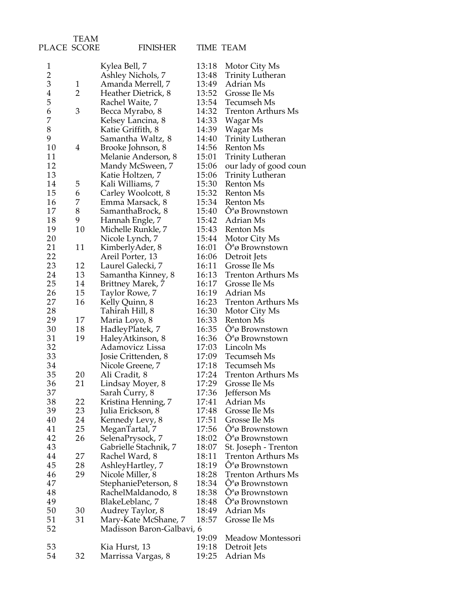|                | TEAM         |                           |       |                               |
|----------------|--------------|---------------------------|-------|-------------------------------|
| PLACE SCORE    |              | <b>FINISHER</b>           |       | TIME TEAM                     |
| 1              |              | Kylea Bell, 7             | 13:18 | Motor City Ms                 |
| $\overline{2}$ |              | Ashley Nichols, 7         | 13:48 | <b>Trinity Lutheran</b>       |
| 3              | $\mathbf{1}$ | Amanda Merrell, 7         | 13:49 | Adrian Ms                     |
| $\overline{4}$ | 2            | Heather Dietrick, 8       | 13:52 | Grosse Ile Ms                 |
| 5              |              | Rachel Waite, 7           | 13:54 | Tecumseh Ms                   |
| 6              | 3            | Becca Myrabo, 8           | 14:32 | <b>Trenton Arthurs Ms</b>     |
| 7              |              | Kelsey Lancina, 8         | 14:33 | Wagar Ms                      |
| 8              |              | Katie Griffith, 8         | 14:39 | Wagar Ms                      |
| 9              |              | Samantha Waltz, 8         | 14:40 | <b>Trinity Lutheran</b>       |
| 10             | 4            | Brooke Johnson, 8         | 14:56 | Renton Ms                     |
| 11             |              | Melanie Anderson, 8       | 15:01 | <b>Trinity Lutheran</b>       |
| 12             |              | Mandy McSween, 7          | 15:06 | our lady of good coun         |
| 13             |              | Katie Holtzen, 7          | 15:06 | Trinity Lutheran              |
| 14             | 5            | Kali Williams, 7          | 15:30 | Renton Ms                     |
| 15             | 6            | Carley Woolcott, 8        | 15:32 | Renton Ms                     |
| 16             | 7            | Emma Marsack, 8           | 15:34 | Renton Ms                     |
| 17             | 8            | SamanthaBrock, 8          | 15:40 | $\hat{O}^a \omega$ Brownstown |
| 18             | 9            | Hannah Engle, 7           | 15:42 | Adrian Ms                     |
| 19             | 10           | Michelle Runkle, 7        | 15:43 | Renton Ms                     |
| 20             |              | Nicole Lynch, 7           | 15:44 | Motor City Ms                 |
| 21             | 11           | KimberlyAder, 8           | 16:01 | $O^a\varnothing$ Brownstown   |
| 22             |              | Areil Porter, 13          | 16:06 | Detroit Jets                  |
| 23             | 12           | Laurel Galecki, 7         | 16:11 | Grosse Ile Ms                 |
| 24             | 13           | Samantha Kinney, 8        | 16:13 | <b>Trenton Arthurs Ms</b>     |
| 25             | 14           | Brittney Marek, 7         | 16:17 | Grosse Ile Ms                 |
| 26             | 15           | Taylor Rowe, 7            | 16:19 | Adrian Ms                     |
| 27             | 16           | Kelly Quinn, 8            | 16:23 | <b>Trenton Arthurs Ms</b>     |
| 28             |              | Tahirah Hill, 8           | 16:30 | Motor City Ms                 |
| 29             | 17           | Maria Loyo, 8             | 16:33 | Renton Ms                     |
| 30             | 18           | HadleyPlatek, 7           | 16:35 | $\hat{O}^a \omega$ Brownstown |
| 31             | 19           | HaleyAtkinson, 8          | 16:36 | $O^a\varnothing$ Brownstown   |
| 32             |              | Adamovicz Lissa           | 17:03 | Lincoln Ms                    |
| 33             |              | Josie Crittenden, 8       | 17:09 | Tecumseh Ms                   |
| 34             |              | Nicole Greene, 7          | 17:18 | Tecumseh Ms                   |
| 35             | 20           | Ali Cradit, 8             | 17:24 | Trenton Arthurs Ms            |
| 36             | 21           | Lindsay Moyer, 8          | 17:29 | Grosse Ile Ms                 |
| 37             |              | Sarah Curry, 8            | 17:36 | Jefferson Ms                  |
| 38             | 22           | Kristina Henning, 7       | 17:41 | Adrian Ms                     |
| 39             | 23           | Julia Erickson, 8         | 17:48 | Grosse Ile Ms                 |
| 40             | 24           | Kennedy Levy, 8           | 17:51 | Grosse Ile Ms                 |
| 41             | 25           | MeganTartal, 7            | 17:56 | $O^a\omega$ Brownstown        |
| 42             | 26           | SelenaPrysock, 7          | 18:02 | $O^a\varnothing$ Brownstown   |
| 43             |              | Gabrielle Stachnik, 7     | 18:07 | St. Joseph - Trenton          |
| 44             | 27           | Rachel Ward, 8            | 18:11 | <b>Trenton Arthurs Ms</b>     |
| 45             | 28           | AshleyHartley, 7          | 18:19 | $\hat{O}^a$ ø Brownstown      |
| 46             | 29           | Nicole Miller, 8          | 18:28 | Trenton Arthurs Ms            |
| 47             |              | StephaniePeterson, 8      | 18:34 | $\hat{O}^a \omega$ Brownstown |
| 48             |              | RachelMaldanodo, 8        | 18:38 | $O^a\omega$ Brownstown        |
| 49             |              | BlakeLeblanc, 7           | 18:48 | $\hat{O}^a \omega$ Brownstown |
| 50             | 30           | Audrey Taylor, 8          | 18:49 | Adrian Ms                     |
| 51             | 31           | Mary-Kate McShane, 7      | 18:57 | Grosse Ile Ms                 |
| 52             |              | Madisson Baron-Galbavi, 6 |       |                               |
|                |              |                           | 19:09 | Meadow Montessori             |
| 53             |              | Kia Hurst, 13             | 19:18 | Detroit Jets                  |
| 54             | 32           | Marrissa Vargas, 8        | 19:25 | Adrian Ms                     |